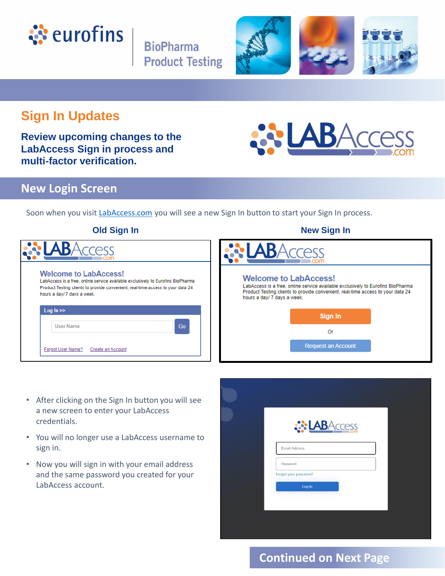

**BioPharma Product Testing** 



## **Sign In Updates**

**Review upcoming changes to the LabAccess Sign in process and multi-factor verification.** 

# LABAcces

#### **New Login Screen**

Soon when you visit [LabAccess.com](https://labaccess.com/) you will see a new Sign In button to start your Sign In process.

| <b>Old Sign In</b>                                                                                                                                                                                                                | <b>New Sign In</b>                                                                                                                                                                                                                |
|-----------------------------------------------------------------------------------------------------------------------------------------------------------------------------------------------------------------------------------|-----------------------------------------------------------------------------------------------------------------------------------------------------------------------------------------------------------------------------------|
|                                                                                                                                                                                                                                   | cess                                                                                                                                                                                                                              |
| <b>Welcome to LabAccess!</b><br>LabAccess is a free, online service available exclusively to Eurofins BioPharma<br>Product Testing clients to provide convenient, real-time access to your data 24<br>hours a day/ 7 days a week. | <b>Welcome to LabAccess!</b><br>LabAccess is a free, online service available exclusively to Eurofins BioPharma<br>Product Testing clients to provide convenient, real-time access to your data 24<br>hours a day/ 7 days a week. |
| Log $ln \geq$                                                                                                                                                                                                                     | Sign In                                                                                                                                                                                                                           |
| Go<br><b>User Name</b>                                                                                                                                                                                                            | 0r                                                                                                                                                                                                                                |
| Forgot User Name?<br>Create an Account                                                                                                                                                                                            | <b>Request an Account</b>                                                                                                                                                                                                         |
|                                                                                                                                                                                                                                   |                                                                                                                                                                                                                                   |

#### • After clicking on the Sign In button you will see a new screen to enter your LabAccess credentials.

- You will no longer use a LabAccess username to sign in.
- Now you will sign in with your email address and the same password you created for your LabAccess account.

| <b>ABAccess</b>                 |  |
|---------------------------------|--|
| Email Address<br>Password       |  |
| Forgot your password?<br>Log In |  |
|                                 |  |
|                                 |  |

## **Continued on Next Page**